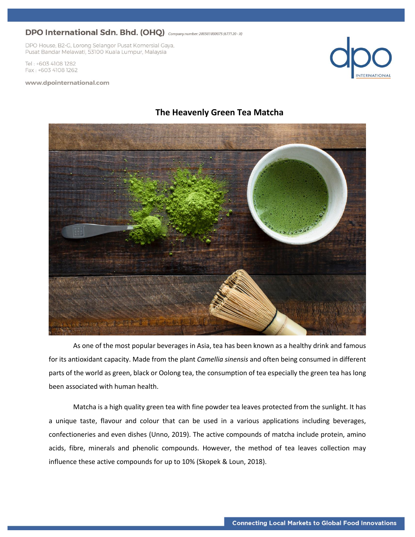DPO House, B2-G, Lorong Selangor Pusat Komersial Gaya, Pusat Bandar Melawati, 53100 Kuala Lumpur, Malaysia

Tel: +603 4108 1282 Fax: +603 4108 1262

#### www.dpointernational.com







As one of the most popular beverages in Asia, tea has been known as a healthy drink and famous for its antioxidant capacity. Made from the plant *Camellia sinensis* and often being consumed in different parts of the world as green, black or Oolong tea, the consumption of tea especially the green tea has long been associated with human health.

Matcha is a high quality green tea with fine powder tea leaves protected from the sunlight. It has a unique taste, flavour and colour that can be used in a various applications including beverages, confectioneries and even dishes (Unno, 2019). The active compounds of matcha include protein, amino acids, fibre, minerals and phenolic compounds. However, the method of tea leaves collection may influence these active compounds for up to 10% (Skopek & Loun, 2018).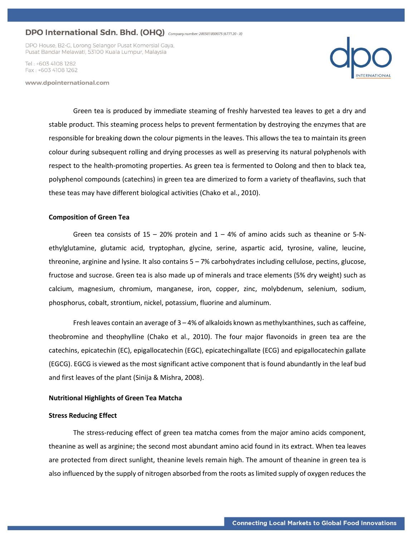DPO House, B2-G, Lorong Selangor Pusat Komersial Gaya, Pusat Bandar Melawati, 53100 Kuala Lumpur, Malaysia

Tel · +603 4108 1282 Fax: +603 4108 1262

www.dpointernational.com



Green tea is produced by immediate steaming of freshly harvested tea leaves to get a dry and stable product. This steaming process helps to prevent fermentation by destroying the enzymes that are responsible for breaking down the colour pigments in the leaves. This allows the tea to maintain its green colour during subsequent rolling and drying processes as well as preserving its natural polyphenols with respect to the health-promoting properties. As green tea is fermented to Oolong and then to black tea, polyphenol compounds (catechins) in green tea are dimerized to form a variety of theaflavins, such that these teas may have different biological activities (Chako et al., 2010).

### **Composition of Green Tea**

Green tea consists of  $15 - 20\%$  protein and  $1 - 4\%$  of amino acids such as theanine or 5-Nethylglutamine, glutamic acid, tryptophan, glycine, serine, aspartic acid, tyrosine, valine, leucine, threonine, arginine and lysine. It also contains 5 – 7% carbohydrates including cellulose, pectins, glucose, fructose and sucrose. Green tea is also made up of minerals and trace elements (5% dry weight) such as calcium, magnesium, chromium, manganese, iron, copper, zinc, molybdenum, selenium, sodium, phosphorus, cobalt, strontium, nickel, potassium, fluorine and aluminum.

Fresh leaves contain an average of 3 – 4% of alkaloids known as methylxanthines, such as caffeine, theobromine and theophylline (Chako et al., 2010). The four major flavonoids in green tea are the catechins, epicatechin (EC), epigallocatechin (EGC), epicatechingallate (ECG) and epigallocatechin gallate (EGCG). EGCG is viewed as the most significant active component that is found abundantly in the leaf bud and first leaves of the plant (Sinija & Mishra, 2008).

### **Nutritional Highlights of Green Tea Matcha**

### **Stress Reducing Effect**

The stress-reducing effect of green tea matcha comes from the major amino acids component, theanine as well as arginine; the second most abundant amino acid found in its extract. When tea leaves are protected from direct sunlight, theanine levels remain high. The amount of theanine in green tea is also influenced by the supply of nitrogen absorbed from the roots as limited supply of oxygen reduces the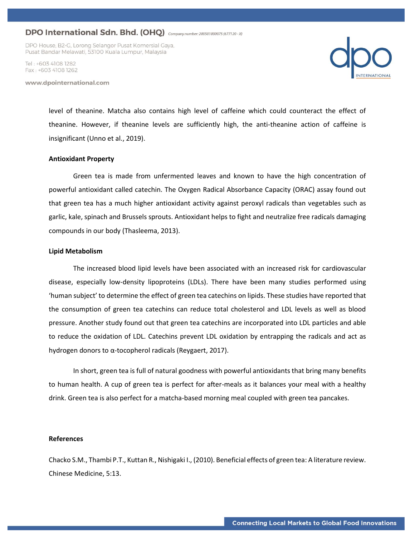DPO House, B2-G, Lorong Selangor Pusat Komersial Gaya, Pusat Bandar Melawati, 53100 Kuala Lumpur, Malaysia

Tel · +603 4108 1282 Fax: +603 4108 1262

www.dpointernational.com



level of theanine. Matcha also contains high level of caffeine which could counteract the effect of theanine. However, if theanine levels are sufficiently high, the anti-theanine action of caffeine is insignificant (Unno et al., 2019).

### **Antioxidant Property**

Green tea is made from unfermented leaves and known to have the high concentration of powerful antioxidant called catechin. The Oxygen Radical Absorbance Capacity (ORAC) assay found out that green tea has a much higher antioxidant activity against peroxyl radicals than vegetables such as garlic, kale, spinach and Brussels sprouts. Antioxidant helps to fight and neutralize free radicals damaging compounds in our body (Thasleema, 2013).

#### **Lipid Metabolism**

The increased blood lipid levels have been associated with an increased risk for cardiovascular disease, especially low-density lipoproteins (LDLs). There have been many studies performed using 'human subject' to determine the effect of green tea catechins on lipids. These studies have reported that the consumption of green tea catechins can reduce total cholesterol and LDL levels as well as blood pressure. Another study found out that green tea catechins are incorporated into LDL particles and able to reduce the oxidation of LDL. Catechins prevent LDL oxidation by entrapping the radicals and act as hydrogen donors to α-tocopherol radicals (Reygaert, 2017).

In short, green tea is full of natural goodness with powerful antioxidants that bring many benefits to human health. A cup of green tea is perfect for after-meals as it balances your meal with a healthy drink. Green tea is also perfect for a matcha-based morning meal coupled with green tea pancakes.

#### **References**

Chacko S.M., Thambi P.T., Kuttan R., Nishigaki I., (2010). Beneficial effects of green tea: A literature review. Chinese Medicine, 5:13.